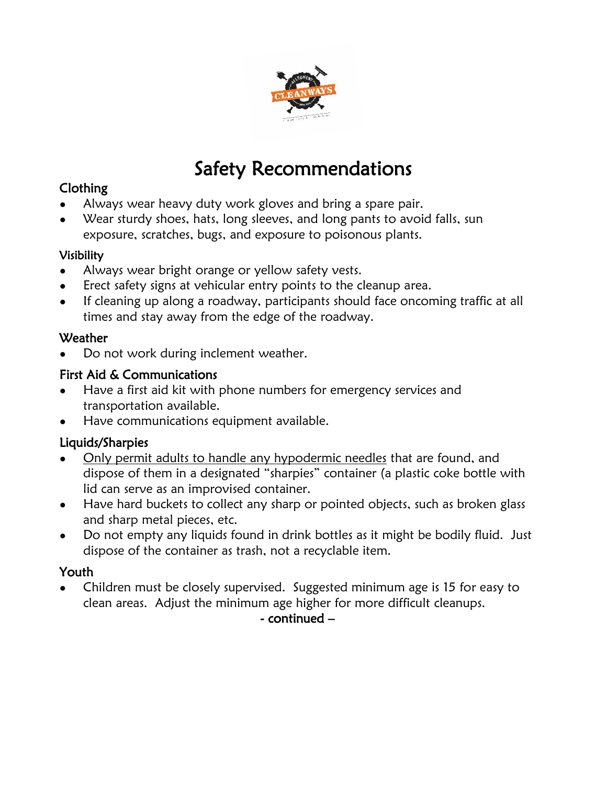

# Safety Recommendations

## Clothing

- Always wear heavy duty work gloves and bring a spare pair.
- Wear sturdy shoes, hats, long sleeves, and long pants to avoid falls, sun exposure, scratches, bugs, and exposure to poisonous plants.

#### Visibility

- Always wear bright orange or yellow safety vests.
- Erect safety signs at vehicular entry points to the cleanup area.
- If cleaning up along a roadway, participants should face oncoming traffic at all times and stay away from the edge of the roadway.

## **Weather**

Do not work during inclement weather.

# First Aid & Communications

- Have a first aid kit with phone numbers for emergency services and transportation available.
- Have communications equipment available.

# Liquids/Sharpies

- Only permit adults to handle any hypodermic needles that are found, and dispose of them in a designated "sharpies" container (a plastic coke bottle with lid can serve as an improvised container.
- Have hard buckets to collect any sharp or pointed objects, such as broken glass and sharp metal pieces, etc.
- Do not empty any liquids found in drink bottles as it might be bodily fluid. Just dispose of the container as trash, not a recyclable item.

## Youth

Children must be closely supervised. Suggested minimum age is 15 for easy to clean areas. Adjust the minimum age higher for more difficult cleanups.

- continued –